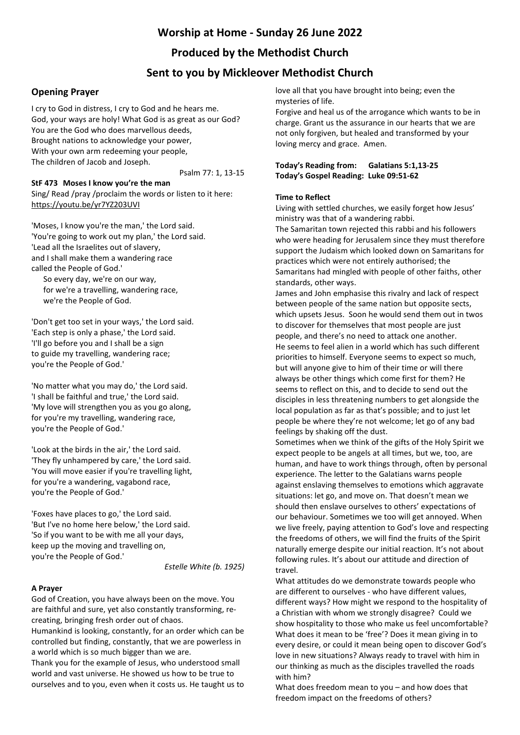# **Worship at Home - Sunday 26 June 2022**

# **Produced by the Methodist Church**

# **Sent to you by Mickleover Methodist Church**

# **Opening Prayer**

I cry to God in distress, I cry to God and he hears me. God, your ways are holy! What God is as great as our God? You are the God who does marvellous deeds, Brought nations to acknowledge your power, With your own arm redeeming your people, The children of Jacob and Joseph.

Psalm 77: 1, 13-15

**StF 473 Moses I know you're the man** Sing/ Read /pray /proclaim the words or listen to it here: <https://youtu.be/yr7YZ203UVI>

'Moses, I know you're the man,' the Lord said. 'You're going to work out my plan,' the Lord said. 'Lead all the Israelites out of slavery, and I shall make them a wandering race called the People of God.'

 So every day, we're on our way, for we're a travelling, wandering race, we're the People of God.

'Don't get too set in your ways,' the Lord said. 'Each step is only a phase,' the Lord said. 'I'll go before you and I shall be a sign to guide my travelling, wandering race; you're the People of God.'

'No matter what you may do,' the Lord said. 'I shall be faithful and true,' the Lord said. 'My love will strengthen you as you go along, for you're my travelling, wandering race, you're the People of God.'

'Look at the birds in the air,' the Lord said. 'They fly unhampered by care,' the Lord said. 'You will move easier if you're travelling light, for you're a wandering, vagabond race, you're the People of God.'

'Foxes have places to go,' the Lord said. 'But I've no home here below,' the Lord said. 'So if you want to be with me all your days, keep up the moving and travelling on, you're the People of God.'

*Estelle White (b. 1925)*

## **A Prayer**

God of Creation, you have always been on the move. You are faithful and sure, yet also constantly transforming, recreating, bringing fresh order out of chaos.

Humankind is looking, constantly, for an order which can be controlled but finding, constantly, that we are powerless in a world which is so much bigger than we are.

Thank you for the example of Jesus, who understood small world and vast universe. He showed us how to be true to ourselves and to you, even when it costs us. He taught us to love all that you have brought into being; even the mysteries of life.

Forgive and heal us of the arrogance which wants to be in charge. Grant us the assurance in our hearts that we are not only forgiven, but healed and transformed by your loving mercy and grace. Amen.

## **Today's Reading from: Galatians 5:1,13-25 Today's Gospel Reading: Luke 09:51-62**

#### **Time to Reflect**

Living with settled churches, we easily forget how Jesus' ministry was that of a wandering rabbi.

The Samaritan town rejected this rabbi and his followers who were heading for Jerusalem since they must therefore support the Judaism which looked down on Samaritans for practices which were not entirely authorised; the Samaritans had mingled with people of other faiths, other standards, other ways.

James and John emphasise this rivalry and lack of respect between people of the same nation but opposite sects, which upsets Jesus. Soon he would send them out in twos to discover for themselves that most people are just people, and there's no need to attack one another. He seems to feel alien in a world which has such different priorities to himself. Everyone seems to expect so much, but will anyone give to him of their time or will there always be other things which come first for them? He seems to reflect on this, and to decide to send out the disciples in less threatening numbers to get alongside the local population as far as that's possible; and to just let people be where they're not welcome; let go of any bad feelings by shaking off the dust.

Sometimes when we think of the gifts of the Holy Spirit we expect people to be angels at all times, but we, too, are human, and have to work things through, often by personal experience. The letter to the Galatians warns people against enslaving themselves to emotions which aggravate situations: let go, and move on. That doesn't mean we should then enslave ourselves to others' expectations of our behaviour. Sometimes we too will get annoyed. When we live freely, paying attention to God's love and respecting the freedoms of others, we will find the fruits of the Spirit naturally emerge despite our initial reaction. It's not about following rules. It's about our attitude and direction of travel.

What attitudes do we demonstrate towards people who are different to ourselves - who have different values, different ways? How might we respond to the hospitality of a Christian with whom we strongly disagree? Could we show hospitality to those who make us feel uncomfortable? What does it mean to be 'free'? Does it mean giving in to every desire, or could it mean being open to discover God's love in new situations? Always ready to travel with him in our thinking as much as the disciples travelled the roads with him?

What does freedom mean to you – and how does that freedom impact on the freedoms of others?